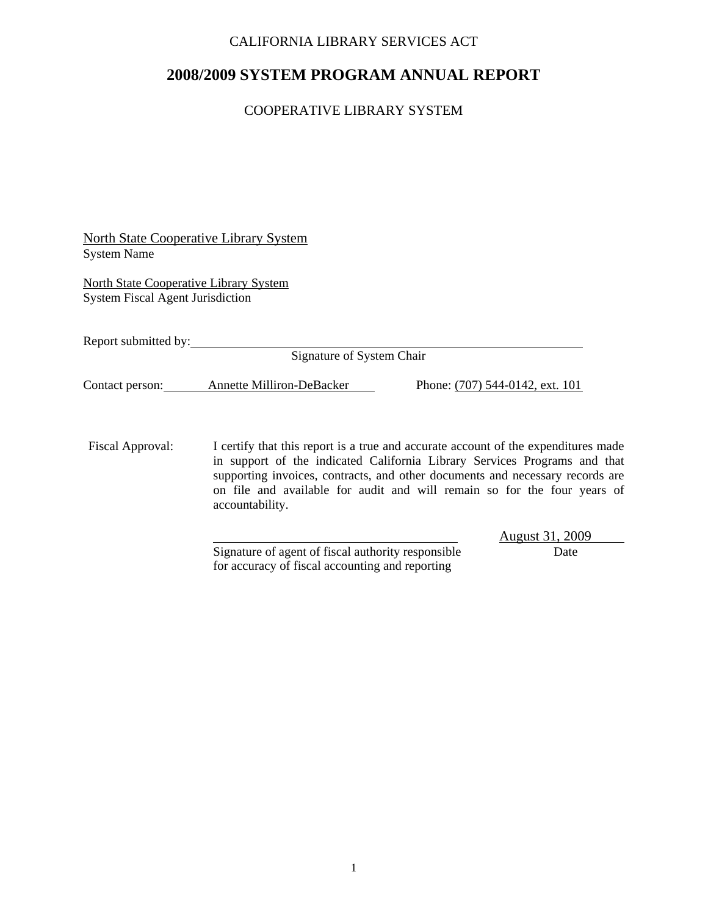## CALIFORNIA LIBRARY SERVICES ACT

# **2008/2009 SYSTEM PROGRAM ANNUAL REPORT**

## COOPERATIVE LIBRARY SYSTEM

| North State Cooperative Library System |  |
|----------------------------------------|--|
| <b>System Name</b>                     |  |

North State Cooperative Library System System Fiscal Agent Jurisdiction

Report submitted by:

Signature of System Chair

Contact person: Annette Milliron-DeBacker Phone: (707) 544-0142, ext. 101

Fiscal Approval: I certify that this report is a true and accurate account of the expenditures made in support of the indicated California Library Services Programs and that supporting invoices, contracts, and other documents and necessary records are on file and available for audit and will remain so for the four years of accountability.

> Signature of agent of fiscal authority responsible Date for accuracy of fiscal accounting and reporting

August 31, 2009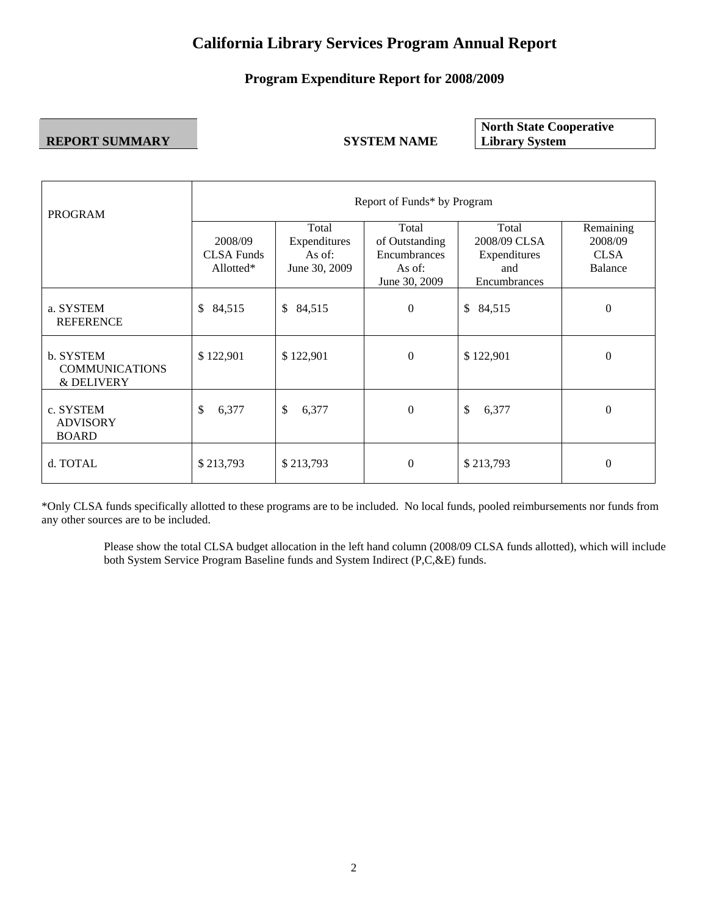# **California Library Services Program Annual Report**

## **Program Expenditure Report for 2008/2009**

#### **REPORT SUMMARY SYSTEM NAME**

**North State Cooperative Library System** 

| <b>PROGRAM</b>                                   | Report of Funds* by Program                  |                                                  |                                                                    |                                                              |                                                |  |  |  |  |
|--------------------------------------------------|----------------------------------------------|--------------------------------------------------|--------------------------------------------------------------------|--------------------------------------------------------------|------------------------------------------------|--|--|--|--|
|                                                  | 2008/09<br><b>CLSA Funds</b><br>Allotted $*$ | Total<br>Expenditures<br>As of:<br>June 30, 2009 | Total<br>of Outstanding<br>Encumbrances<br>As of:<br>June 30, 2009 | Total<br>2008/09 CLSA<br>Expenditures<br>and<br>Encumbrances | Remaining<br>2008/09<br><b>CLSA</b><br>Balance |  |  |  |  |
| a. SYSTEM<br><b>REFERENCE</b>                    | 84,515<br>\$                                 | 84,515<br>$\mathbb{S}$                           | $\Omega$                                                           | $\mathbb{S}$<br>84,515                                       | $\Omega$                                       |  |  |  |  |
| b. SYSTEM<br><b>COMMUNICATIONS</b><br>& DELIVERY | \$122,901                                    | \$122,901                                        | $\Omega$                                                           | \$122,901                                                    | $\Omega$                                       |  |  |  |  |
| c. SYSTEM<br><b>ADVISORY</b><br><b>BOARD</b>     | \$<br>6,377                                  | \$<br>6,377                                      | $\overline{0}$                                                     | \$<br>6,377                                                  | $\overline{0}$                                 |  |  |  |  |
| d. TOTAL                                         | \$213,793                                    | \$213,793                                        | $\Omega$                                                           | \$213,793                                                    | $\theta$                                       |  |  |  |  |

\*Only CLSA funds specifically allotted to these programs are to be included. No local funds, pooled reimbursements nor funds from any other sources are to be included.

Please show the total CLSA budget allocation in the left hand column (2008/09 CLSA funds allotted), which will include both System Service Program Baseline funds and System Indirect (P,C,&E) funds.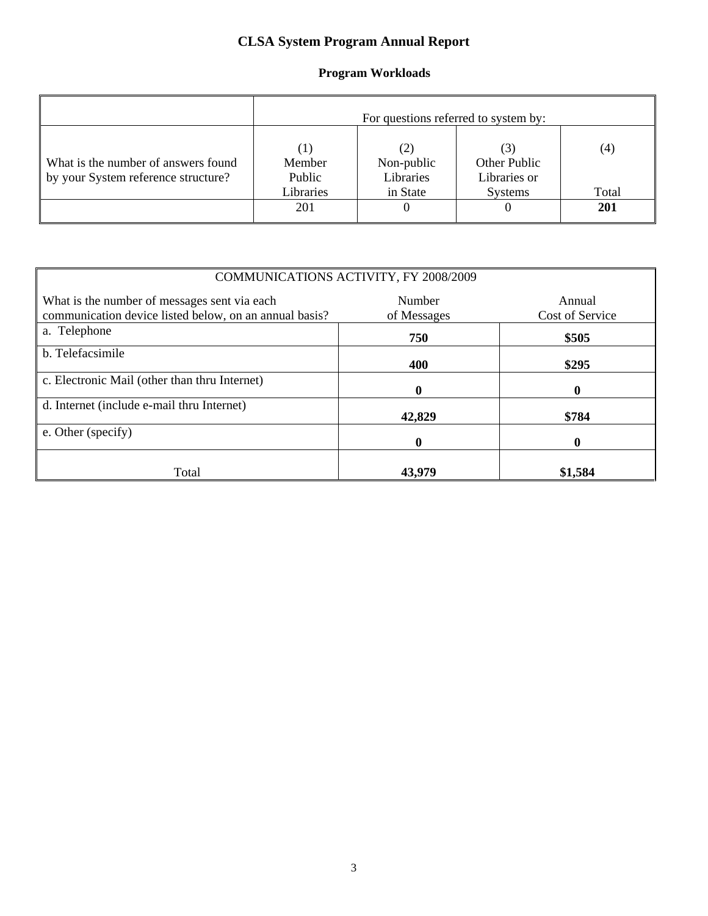# **CLSA System Program Annual Report**

## **Program Workloads**

|                                                                            | For questions referred to system by:               |                                            |                                         |              |  |  |  |
|----------------------------------------------------------------------------|----------------------------------------------------|--------------------------------------------|-----------------------------------------|--------------|--|--|--|
| What is the number of answers found<br>by your System reference structure? | $\left( 1\right)$<br>Member<br>Public<br>Libraries | (2)<br>Non-public<br>Libraries<br>in State | Other Public<br>Libraries or<br>Systems | (4)<br>Total |  |  |  |
|                                                                            | 201                                                | $\theta$                                   |                                         | 201          |  |  |  |

|                                                                                                                                                              | COMMUNICATIONS ACTIVITY, FY 2008/2009 |         |  |  |  |  |  |  |
|--------------------------------------------------------------------------------------------------------------------------------------------------------------|---------------------------------------|---------|--|--|--|--|--|--|
| What is the number of messages sent via each<br>Number<br>Annual<br>communication device listed below, on an annual basis?<br>Cost of Service<br>of Messages |                                       |         |  |  |  |  |  |  |
| a. Telephone                                                                                                                                                 | 750                                   | \$505   |  |  |  |  |  |  |
| b. Telefacsimile                                                                                                                                             | 400                                   | \$295   |  |  |  |  |  |  |
| c. Electronic Mail (other than thru Internet)                                                                                                                | 0                                     |         |  |  |  |  |  |  |
| d. Internet (include e-mail thru Internet)                                                                                                                   | 42,829                                | \$784   |  |  |  |  |  |  |
| e. Other (specify)                                                                                                                                           | 0                                     |         |  |  |  |  |  |  |
| Total                                                                                                                                                        | 43,979                                | \$1,584 |  |  |  |  |  |  |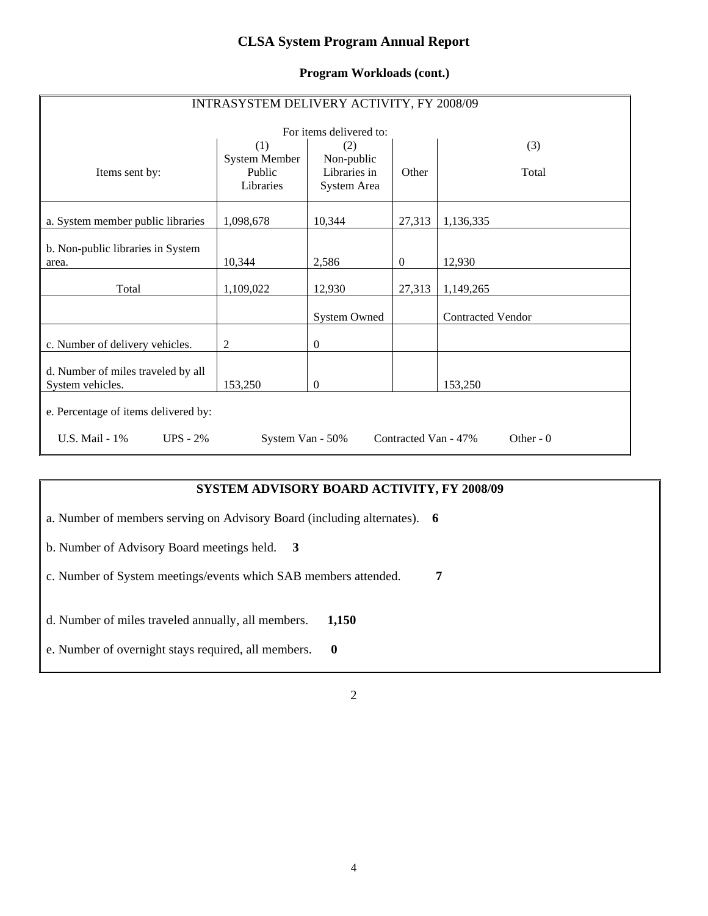## **CLSA System Program Annual Report**

#### **Program Workloads (cont.)**

| INTRASYSTEM DELIVERY ACTIVITY, FY 2008/09              |                                             |                                                  |                      |                          |  |  |  |  |
|--------------------------------------------------------|---------------------------------------------|--------------------------------------------------|----------------------|--------------------------|--|--|--|--|
|                                                        | For items delivered to:                     |                                                  |                      |                          |  |  |  |  |
| Items sent by:                                         | (1)<br>System Member<br>Public<br>Libraries | (2)<br>Non-public<br>Libraries in<br>System Area | Other                | (3)<br>Total             |  |  |  |  |
| a. System member public libraries                      | 1,098,678                                   | 10,344                                           | 27,313               | 1,136,335                |  |  |  |  |
| b. Non-public libraries in System<br>area.             | 10,344                                      | 2,586                                            | $\overline{0}$       | 12,930                   |  |  |  |  |
| Total                                                  | 1,109,022                                   | 12,930                                           | 27,313               | 1,149,265                |  |  |  |  |
|                                                        |                                             | <b>System Owned</b>                              |                      | <b>Contracted Vendor</b> |  |  |  |  |
| c. Number of delivery vehicles.                        | 2                                           | $\boldsymbol{0}$                                 |                      |                          |  |  |  |  |
| d. Number of miles traveled by all<br>System vehicles. | 153,250                                     | $\mathbf{0}$                                     |                      | 153,250                  |  |  |  |  |
| e. Percentage of items delivered by:                   |                                             |                                                  |                      |                          |  |  |  |  |
| U.S. Mail - 1%<br>$UPS - 2\%$                          | System Van - 50%                            |                                                  | Contracted Van - 47% | Other - $0$              |  |  |  |  |

## **SYSTEM ADVISORY BOARD ACTIVITY, FY 2008/09**

a. Number of members serving on Advisory Board (including alternates). **6**

b. Number of Advisory Board meetings held. **3**

c. Number of System meetings/events which SAB members attended. **7** 

d. Number of miles traveled annually, all members. **1,150** 

e. Number of overnight stays required, all members. **0**

2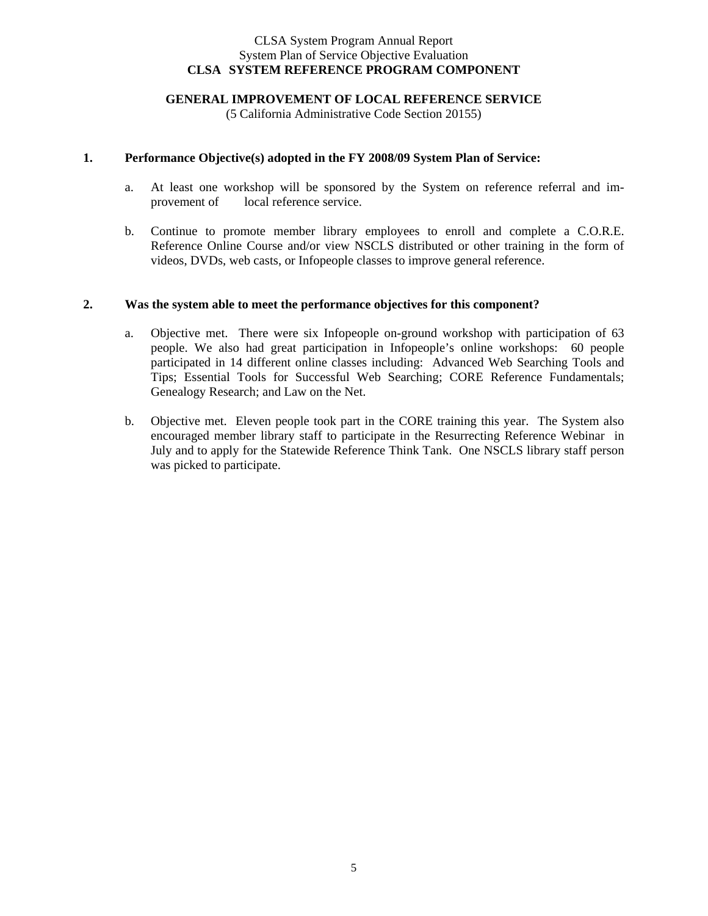#### CLSA System Program Annual Report System Plan of Service Objective Evaluation **CLSA SYSTEM REFERENCE PROGRAM COMPONENT**

#### **GENERAL IMPROVEMENT OF LOCAL REFERENCE SERVICE**

(5 California Administrative Code Section 20155)

#### **1. Performance Objective(s) adopted in the FY 2008/09 System Plan of Service:**

- a. At least one workshop will be sponsored by the System on reference referral and improvement of local reference service.
- b. Continue to promote member library employees to enroll and complete a C.O.R.E. Reference Online Course and/or view NSCLS distributed or other training in the form of videos, DVDs, web casts, or Infopeople classes to improve general reference.

#### **2. Was the system able to meet the performance objectives for this component?**

- a. Objective met. There were six Infopeople on-ground workshop with participation of 63 people. We also had great participation in Infopeople's online workshops: 60 people participated in 14 different online classes including: Advanced Web Searching Tools and Tips; Essential Tools for Successful Web Searching; CORE Reference Fundamentals; Genealogy Research; and Law on the Net.
- b. Objective met. Eleven people took part in the CORE training this year. The System also encouraged member library staff to participate in the Resurrecting Reference Webinar in July and to apply for the Statewide Reference Think Tank. One NSCLS library staff person was picked to participate.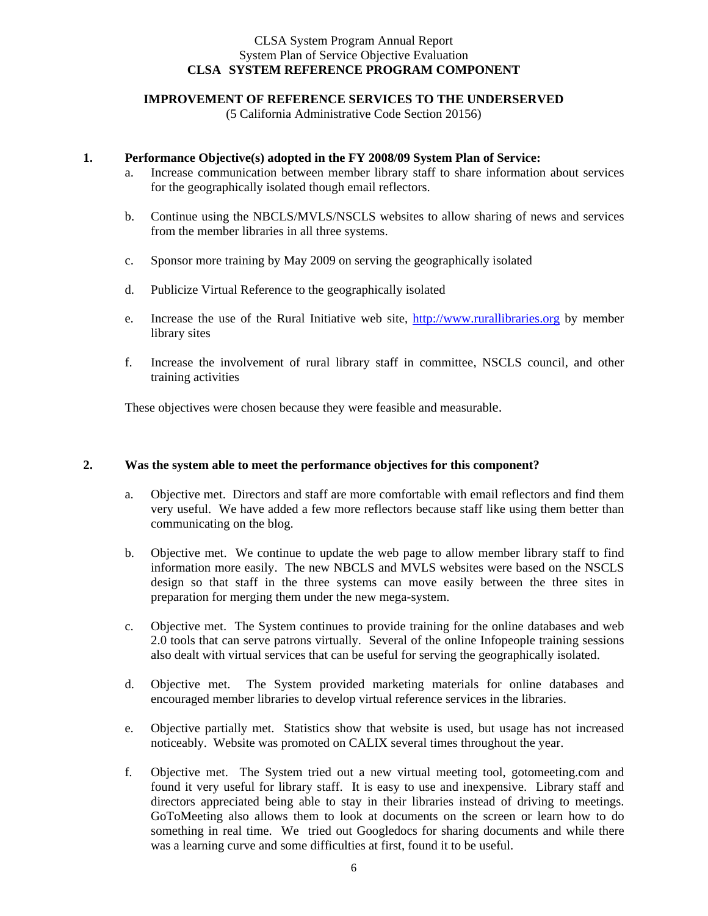#### CLSA System Program Annual Report System Plan of Service Objective Evaluation **CLSA SYSTEM REFERENCE PROGRAM COMPONENT**

#### **IMPROVEMENT OF REFERENCE SERVICES TO THE UNDERSERVED**

(5 California Administrative Code Section 20156)

#### **1. Performance Objective(s) adopted in the FY 2008/09 System Plan of Service:**

- a. Increase communication between member library staff to share information about services for the geographically isolated though email reflectors.
- b. Continue using the NBCLS/MVLS/NSCLS websites to allow sharing of news and services from the member libraries in all three systems.
- c. Sponsor more training by May 2009 on serving the geographically isolated
- d. Publicize Virtual Reference to the geographically isolated
- e. Increase the use of the Rural Initiative web site, http://www.rurallibraries.org by member library sites
- f. Increase the involvement of rural library staff in committee, NSCLS council, and other training activities

These objectives were chosen because they were feasible and measurable.

#### **2. Was the system able to meet the performance objectives for this component?**

- a. Objective met. Directors and staff are more comfortable with email reflectors and find them very useful. We have added a few more reflectors because staff like using them better than communicating on the blog.
- b. Objective met. We continue to update the web page to allow member library staff to find information more easily. The new NBCLS and MVLS websites were based on the NSCLS design so that staff in the three systems can move easily between the three sites in preparation for merging them under the new mega-system.
- c. Objective met. The System continues to provide training for the online databases and web 2.0 tools that can serve patrons virtually. Several of the online Infopeople training sessions also dealt with virtual services that can be useful for serving the geographically isolated.
- d. Objective met. The System provided marketing materials for online databases and encouraged member libraries to develop virtual reference services in the libraries.
- e. Objective partially met. Statistics show that website is used, but usage has not increased noticeably. Website was promoted on CALIX several times throughout the year.
- f. Objective met. The System tried out a new virtual meeting tool, gotomeeting.com and found it very useful for library staff. It is easy to use and inexpensive. Library staff and directors appreciated being able to stay in their libraries instead of driving to meetings. GoToMeeting also allows them to look at documents on the screen or learn how to do something in real time. We tried out Googledocs for sharing documents and while there was a learning curve and some difficulties at first, found it to be useful.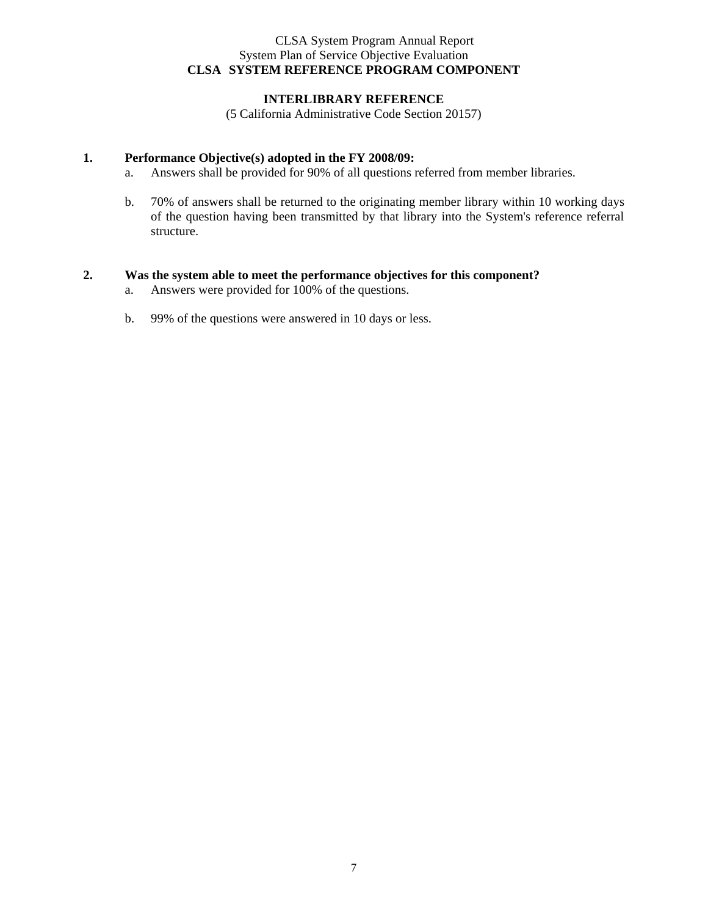#### CLSA System Program Annual Report System Plan of Service Objective Evaluation **CLSA SYSTEM REFERENCE PROGRAM COMPONENT**

#### **INTERLIBRARY REFERENCE**

(5 California Administrative Code Section 20157)

#### **1. Performance Objective(s) adopted in the FY 2008/09:**

- a. Answers shall be provided for 90% of all questions referred from member libraries.
- b. 70% of answers shall be returned to the originating member library within 10 working days of the question having been transmitted by that library into the System's reference referral structure.

#### **2. Was the system able to meet the performance objectives for this component?**

- a. Answers were provided for 100% of the questions.
- b. 99% of the questions were answered in 10 days or less.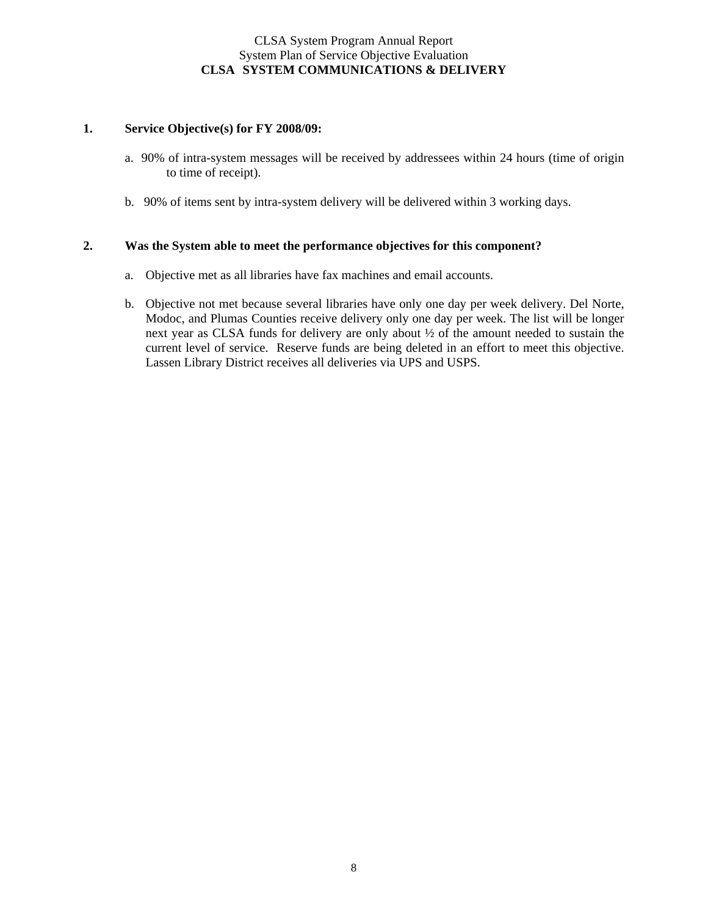#### CLSA System Program Annual Report System Plan of Service Objective Evaluation **CLSA SYSTEM COMMUNICATIONS & DELIVERY**

#### **1. Service Objective(s) for FY 2008/09:**

- a. 90% of intra-system messages will be received by addressees within 24 hours (time of origin to time of receipt).
- b. 90% of items sent by intra-system delivery will be delivered within 3 working days.

#### **2. Was the System able to meet the performance objectives for this component?**

- a. Objective met as all libraries have fax machines and email accounts.
- b. Objective not met because several libraries have only one day per week delivery. Del Norte, Modoc, and Plumas Counties receive delivery only one day per week. The list will be longer next year as CLSA funds for delivery are only about ½ of the amount needed to sustain the current level of service. Reserve funds are being deleted in an effort to meet this objective. Lassen Library District receives all deliveries via UPS and USPS.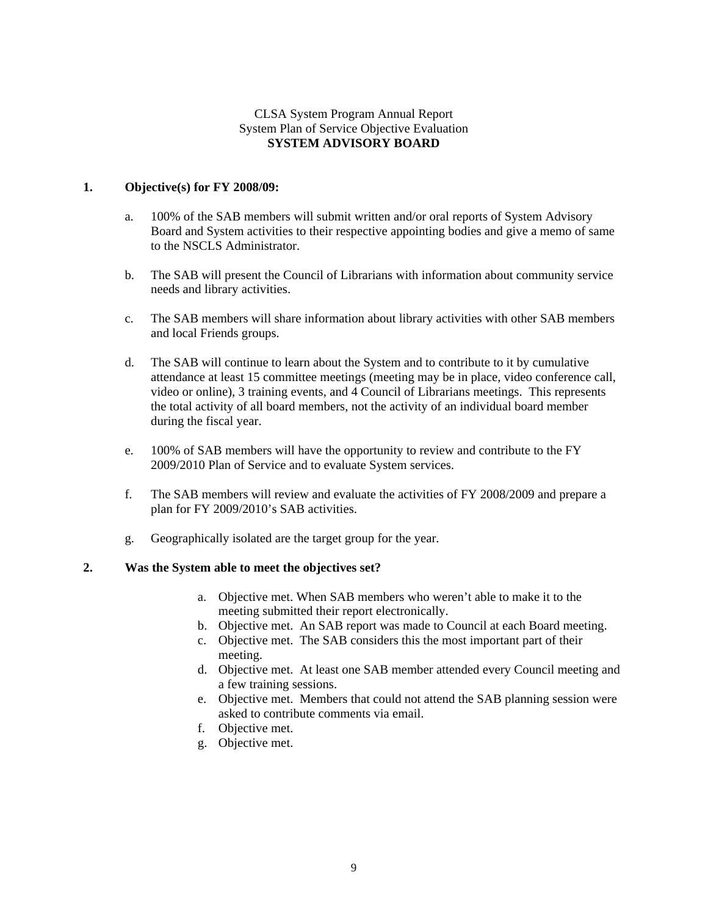#### CLSA System Program Annual Report System Plan of Service Objective Evaluation **SYSTEM ADVISORY BOARD**

#### **1. Objective(s) for FY 2008/09:**

- a. 100% of the SAB members will submit written and/or oral reports of System Advisory Board and System activities to their respective appointing bodies and give a memo of same to the NSCLS Administrator.
- b. The SAB will present the Council of Librarians with information about community service needs and library activities.
- c. The SAB members will share information about library activities with other SAB members and local Friends groups.
- d. The SAB will continue to learn about the System and to contribute to it by cumulative attendance at least 15 committee meetings (meeting may be in place, video conference call, video or online), 3 training events, and 4 Council of Librarians meetings. This represents the total activity of all board members, not the activity of an individual board member during the fiscal year.
- e. 100% of SAB members will have the opportunity to review and contribute to the FY 2009/2010 Plan of Service and to evaluate System services.
- f. The SAB members will review and evaluate the activities of FY 2008/2009 and prepare a plan for FY 2009/2010's SAB activities.
- g. Geographically isolated are the target group for the year.

#### **2. Was the System able to meet the objectives set?**

- a. Objective met. When SAB members who weren't able to make it to the meeting submitted their report electronically.
- b. Objective met. An SAB report was made to Council at each Board meeting.
- c. Objective met. The SAB considers this the most important part of their meeting.
- d. Objective met. At least one SAB member attended every Council meeting and a few training sessions.
- e. Objective met. Members that could not attend the SAB planning session were asked to contribute comments via email.
- f. Objective met.
- g. Objective met.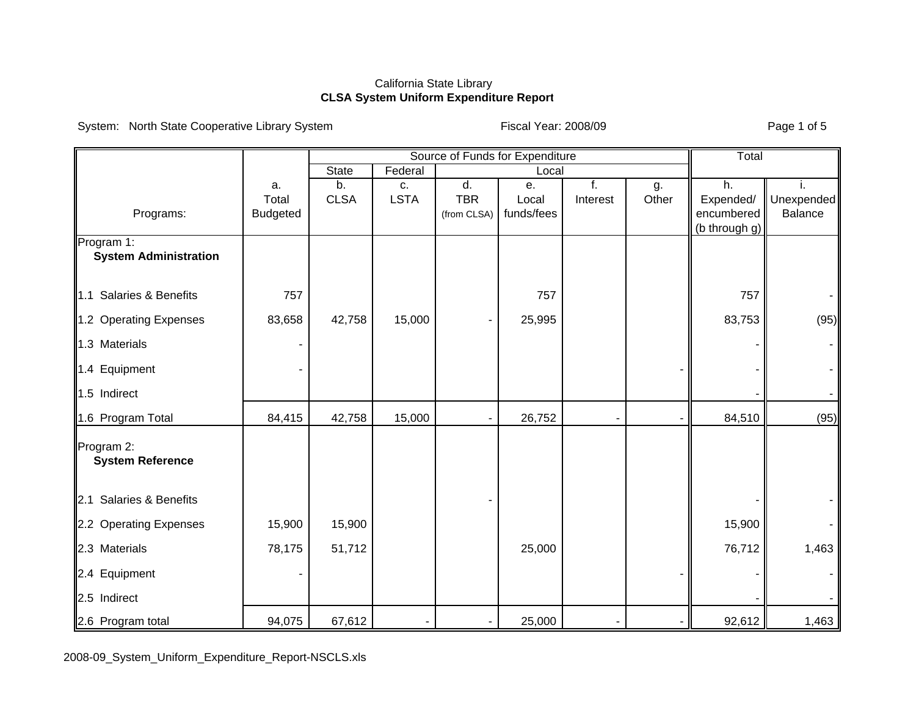System: North State Cooperative Library System Fiscal Year: 2008/09 Fiscal Year: 2008/09

|                                       |                 | Source of Funds for Expenditure |                  |             |            |          | Total |                         |            |
|---------------------------------------|-----------------|---------------------------------|------------------|-------------|------------|----------|-------|-------------------------|------------|
|                                       |                 | <b>State</b>                    | Federal<br>Local |             |            |          |       |                         |            |
|                                       | a.              | b.                              | c.               | d.          | е.         | f.       | g.    | h.                      |            |
|                                       | Total           | <b>CLSA</b>                     | <b>LSTA</b>      | <b>TBR</b>  | Local      | Interest | Other | Expended/<br>encumbered | Unexpended |
| Programs:                             | <b>Budgeted</b> |                                 |                  | (from CLSA) | funds/fees |          |       | (b through g)           | Balance    |
| Program 1:                            |                 |                                 |                  |             |            |          |       |                         |            |
| <b>System Administration</b>          |                 |                                 |                  |             |            |          |       |                         |            |
|                                       |                 |                                 |                  |             |            |          |       |                         |            |
| Salaries & Benefits<br>$\mathbf{1.1}$ | 757             |                                 |                  |             | 757        |          |       | 757                     |            |
| 1.2 Operating Expenses                | 83,658          | 42,758                          | 15,000           |             | 25,995     |          |       | 83,753                  | (95)       |
| 1.3 Materials                         |                 |                                 |                  |             |            |          |       |                         |            |
| 1.4 Equipment                         |                 |                                 |                  |             |            |          |       |                         |            |
| 1.5 Indirect                          |                 |                                 |                  |             |            |          |       |                         |            |
| 1.6 Program Total                     | 84,415          | 42,758                          | 15,000           |             | 26,752     |          |       | 84,510                  | (95)       |
| Program 2:                            |                 |                                 |                  |             |            |          |       |                         |            |
| <b>System Reference</b>               |                 |                                 |                  |             |            |          |       |                         |            |
|                                       |                 |                                 |                  |             |            |          |       |                         |            |
| 2.1 Salaries & Benefits               |                 |                                 |                  |             |            |          |       |                         |            |
| 2.2 Operating Expenses                | 15,900          | 15,900                          |                  |             |            |          |       | 15,900                  |            |
| 2.3 Materials                         | 78,175          | 51,712                          |                  |             | 25,000     |          |       | 76,712                  | 1,463      |
| 2.4 Equipment                         |                 |                                 |                  |             |            |          |       |                         |            |
| 2.5 Indirect                          |                 |                                 |                  |             |            |          |       |                         |            |
| 2.6 Program total                     | 94,075          | 67,612                          |                  |             | 25,000     |          |       | 92,612                  | 1,463      |

2008-09\_System\_Uniform\_Expenditure\_Report-NSCLS.xls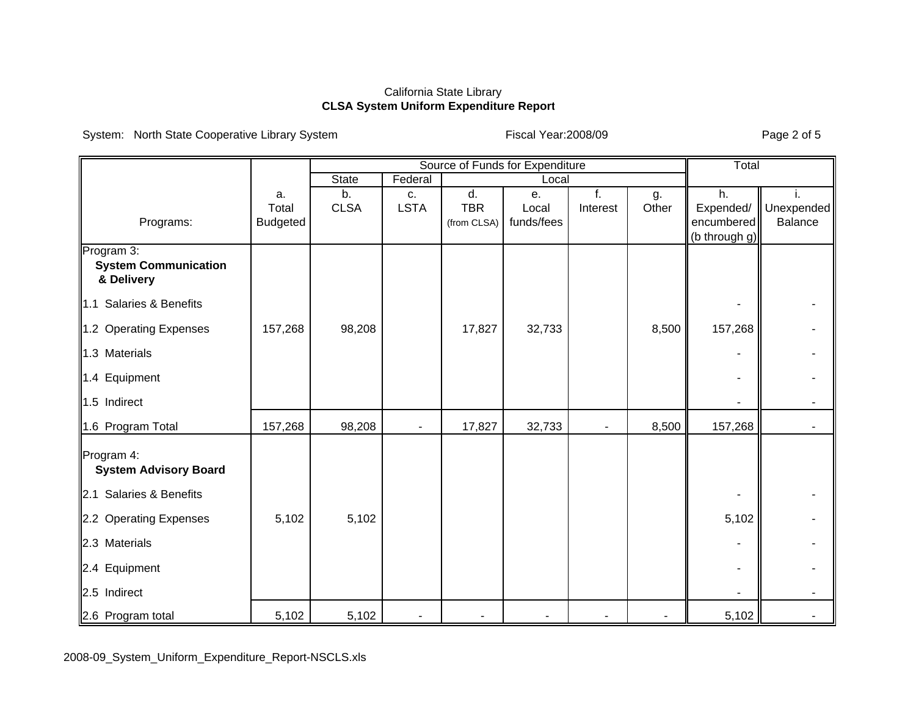System: North State Cooperative Library System Fiscal Year:2008/09 Fiscal Year:2008/09

|                                                                       |                 | Source of Funds for Expenditure |             |             |            |          |       | Total         |            |
|-----------------------------------------------------------------------|-----------------|---------------------------------|-------------|-------------|------------|----------|-------|---------------|------------|
|                                                                       |                 | <b>State</b>                    | Federal     |             | Local      |          |       |               |            |
|                                                                       | a.              | b.                              | C.          | d.          | е.         | f.       | g.    | h.            |            |
|                                                                       | Total           | <b>CLSA</b>                     | <b>LSTA</b> | <b>TBR</b>  | Local      | Interest | Other | Expended/     | Unexpended |
| Programs:                                                             | <b>Budgeted</b> |                                 |             | (from CLSA) | funds/fees |          |       | encumbered    | Balance    |
| Program 3:<br><b>System Communication</b><br>& Delivery               |                 |                                 |             |             |            |          |       | (b_through g) |            |
| 1.1 Salaries & Benefits                                               |                 |                                 |             |             |            |          |       |               |            |
| 1.2 Operating Expenses                                                | 157,268         | 98,208                          |             | 17,827      | 32,733     |          | 8,500 | 157,268       |            |
| 1.3 Materials                                                         |                 |                                 |             |             |            |          |       |               |            |
| 1.4 Equipment                                                         |                 |                                 |             |             |            |          |       |               |            |
| 1.5 Indirect                                                          |                 |                                 |             |             |            |          |       |               |            |
| 1.6 Program Total                                                     | 157,268         | 98,208                          |             | 17,827      | 32,733     |          | 8,500 | 157,268       |            |
| Program 4:<br><b>System Advisory Board</b><br>2.1 Salaries & Benefits |                 |                                 |             |             |            |          |       |               |            |
| 2.2 Operating Expenses                                                | 5,102           | 5,102                           |             |             |            |          |       | 5,102         |            |
| 2.3 Materials                                                         |                 |                                 |             |             |            |          |       |               |            |
| 2.4 Equipment                                                         |                 |                                 |             |             |            |          |       |               |            |
| 2.5 Indirect                                                          |                 |                                 |             |             |            |          |       |               |            |
| 2.6 Program total                                                     | 5,102           | 5,102                           |             |             |            |          |       | 5,102         |            |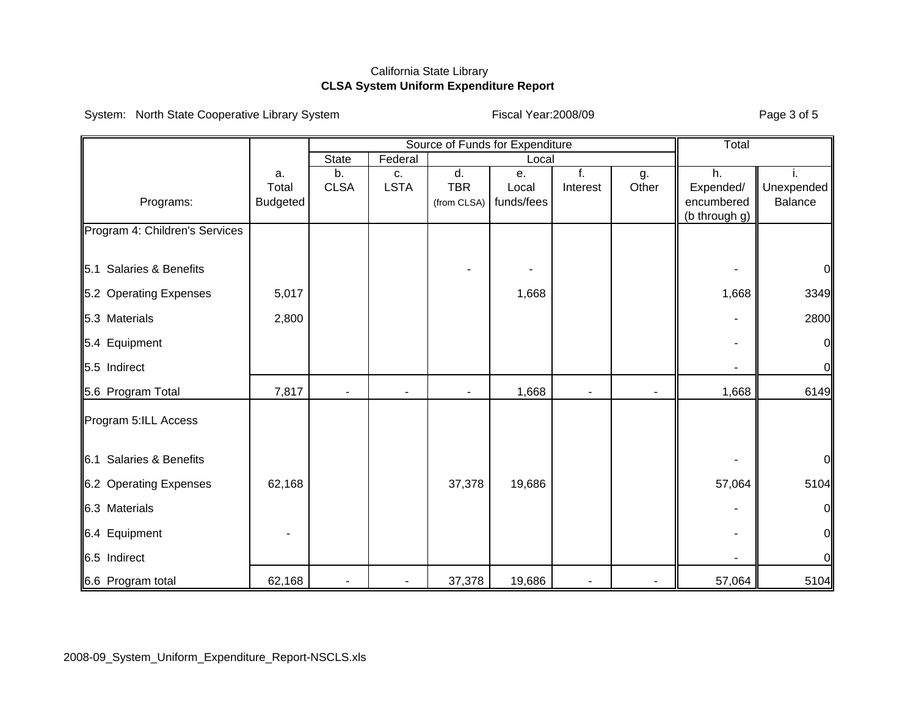System: North State Cooperative Library System Fiscal Year:2008/09 Fiscal Year:2008/09

|  | Fiscal Year: 2008/09 |  |
|--|----------------------|--|
|--|----------------------|--|

|                                |                 | Source of Funds for Expenditure |                |                |            |          | Total |               |                |
|--------------------------------|-----------------|---------------------------------|----------------|----------------|------------|----------|-------|---------------|----------------|
|                                |                 | State<br>Federal<br>Local       |                |                |            |          |       |               |                |
|                                | a.              | b.                              | c.             | d.             | е.         | f.       | g.    | h.            |                |
|                                | Total           | <b>CLSA</b>                     | <b>LSTA</b>    | <b>TBR</b>     | Local      | Interest | Other | Expended/     | Unexpended     |
| Programs:                      | <b>Budgeted</b> |                                 |                | (from CLSA)    | funds/fees |          |       | encumbered    | Balance        |
| Program 4: Children's Services |                 |                                 |                |                |            |          |       | (b through g) |                |
| 5.1 Salaries & Benefits        |                 |                                 |                |                |            |          |       |               | 0              |
|                                |                 |                                 |                |                |            |          |       |               |                |
| 5.2 Operating Expenses         | 5,017           |                                 |                |                | 1,668      |          |       | 1,668         | 3349           |
| 5.3 Materials                  | 2,800           |                                 |                |                |            |          |       |               | 2800           |
| 5.4 Equipment                  |                 |                                 |                |                |            |          |       |               | $\overline{0}$ |
| 5.5 Indirect                   |                 |                                 |                |                |            |          |       |               | $\overline{0}$ |
| 5.6 Program Total              | 7,817           | $\blacksquare$                  | $\blacksquare$ | $\blacksquare$ | 1,668      | ٠        | ٠     | 1,668         | 6149           |
| Program 5:ILL Access           |                 |                                 |                |                |            |          |       |               |                |
| 6.1 Salaries & Benefits        |                 |                                 |                |                |            |          |       |               | $\overline{O}$ |
| 6.2 Operating Expenses         | 62,168          |                                 |                | 37,378         | 19,686     |          |       | 57,064        | 5104           |
| 6.3 Materials                  |                 |                                 |                |                |            |          |       |               | $\overline{0}$ |
| 6.4 Equipment                  |                 |                                 |                |                |            |          |       |               | 0              |
| 6.5 Indirect                   |                 |                                 |                |                |            |          |       |               | $\overline{O}$ |
| 6.6 Program total              | 62,168          |                                 | $\blacksquare$ | 37,378         | 19,686     |          |       | 57,064        | 5104           |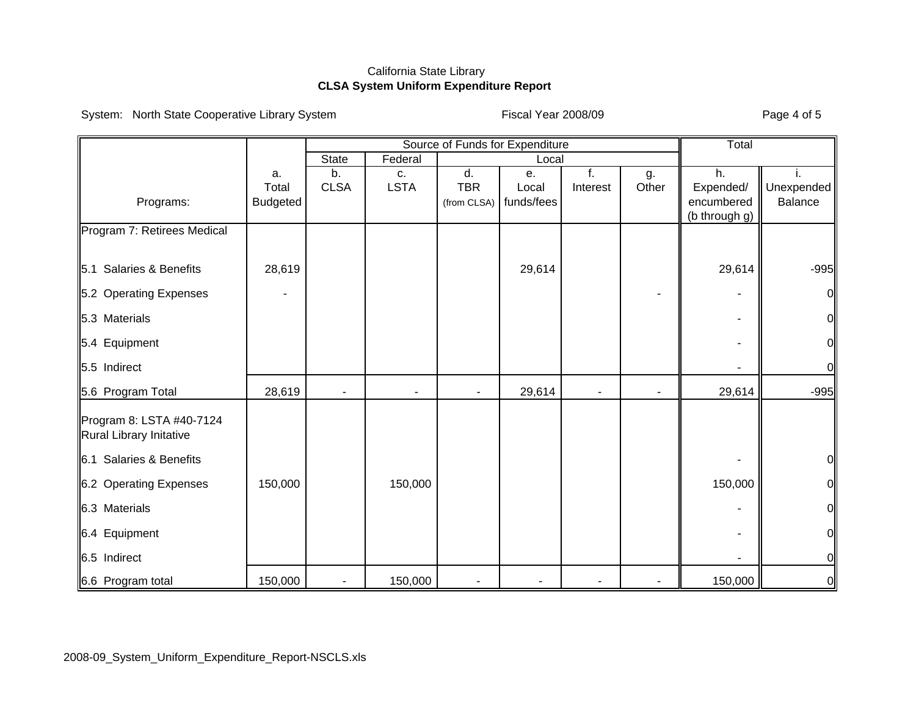System: North State Cooperative Library System Fiscal Year 2008/09 Fiscal Year 2008/09

| Fiscal Year 2008/09 |  |  |  |
|---------------------|--|--|--|
|---------------------|--|--|--|

|                                                     |                 | Source of Funds for Expenditure |                  |                |            |                          | Total          |                         |                        |
|-----------------------------------------------------|-----------------|---------------------------------|------------------|----------------|------------|--------------------------|----------------|-------------------------|------------------------|
|                                                     |                 | State                           | Federal<br>Local |                |            |                          |                |                         |                        |
|                                                     | a.              | b.                              | c.               | d.             | е.         | f.                       | g.             | h.                      |                        |
|                                                     | Total           | <b>CLSA</b>                     | <b>LSTA</b>      | <b>TBR</b>     | Local      | Interest                 | Other          | Expended/<br>encumbered | Unexpended<br>Balance  |
| Programs:                                           | <b>Budgeted</b> |                                 |                  | (from CLSA)    | funds/fees |                          |                | (b through g)           |                        |
| Program 7: Retirees Medical                         |                 |                                 |                  |                |            |                          |                |                         |                        |
|                                                     |                 |                                 |                  |                |            |                          |                |                         |                        |
| Salaries & Benefits<br>5.1                          | 28,619          |                                 |                  |                | 29,614     |                          |                | 29,614                  | $-995$                 |
| 5.2 Operating Expenses                              |                 |                                 |                  |                |            |                          |                |                         | $\mathsf{O}\mathsf{I}$ |
| 5.3 Materials                                       |                 |                                 |                  |                |            |                          |                |                         | $\overline{0}$         |
| 5.4 Equipment                                       |                 |                                 |                  |                |            |                          |                |                         | $\overline{0}$         |
| 5.5 Indirect                                        |                 |                                 |                  |                |            |                          |                |                         | $\overline{0}$         |
| 5.6 Program Total                                   | 28,619          | $\blacksquare$                  | $\blacksquare$   | $\blacksquare$ | 29,614     | $\overline{\phantom{0}}$ | $\blacksquare$ | 29,614                  | $-995$                 |
| Program 8: LSTA #40-7124<br>Rural Library Initative |                 |                                 |                  |                |            |                          |                |                         |                        |
| 6.1 Salaries & Benefits                             |                 |                                 |                  |                |            |                          |                |                         | 에                      |
| 6.2 Operating Expenses                              | 150,000         |                                 | 150,000          |                |            |                          |                | 150,000                 | $\frac{1}{2}$          |
| 6.3 Materials                                       |                 |                                 |                  |                |            |                          |                |                         | $\overline{0}$         |
| 6.4 Equipment                                       |                 |                                 |                  |                |            |                          |                |                         | $\mathbf{0}$           |
| 6.5 Indirect                                        |                 |                                 |                  |                |            |                          |                |                         | $\overline{0}$         |
| 6.6 Program total                                   | 150,000         | $\overline{\phantom{a}}$        | 150,000          |                |            |                          |                | 150,000                 | $\overline{0}$         |